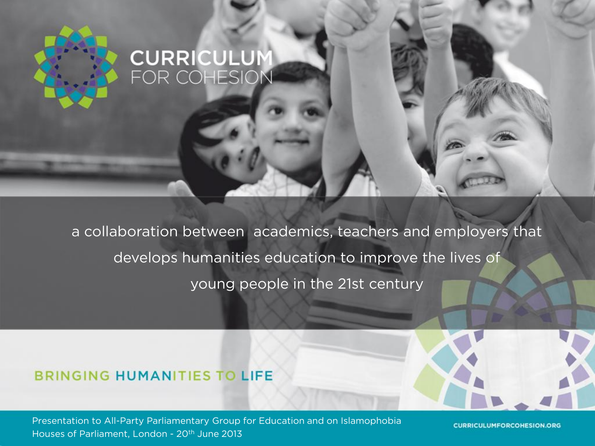# **CURRICULUM**<br>FOR COHESION

a collaboration between academics, teachers and employers that develops humanities education to improve the lives of young people in the 21st century

#### **BRINGING HUMANITIES TO LIFE**

Presentation to All-Party Parliamentary Group for Education and on Islamophobia Houses of Parliament, London - 20th June 2013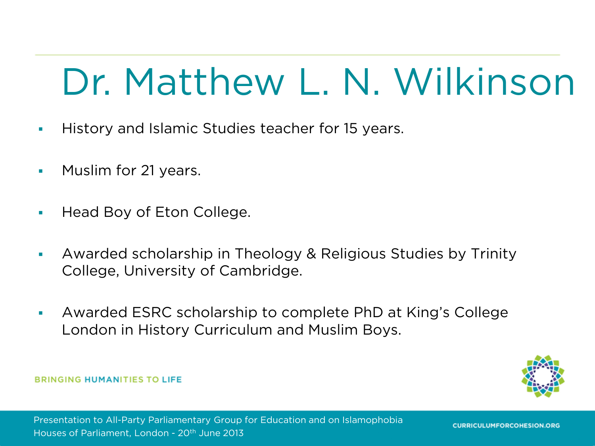#### Dr. Matthew L. N. Wilkinson

- **History and Islamic Studies teacher for 15 years.**
- **Muslim for 21 years.**
- Head Boy of Eton College.
- Awarded scholarship in Theology & Religious Studies by Trinity College, University of Cambridge.
- Awarded ESRC scholarship to complete PhD at King's College London in History Curriculum and Muslim Boys.

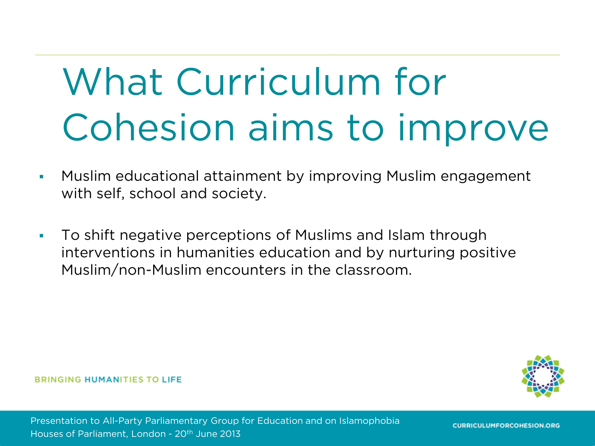### What Curriculum for Cohesion aims to improve

- Muslim educational attainment by improving Muslim engagement with self, school and society.
- To shift negative perceptions of Muslims and Islam through interventions in humanities education and by nurturing positive Muslim/non-Muslim encounters in the classroom.

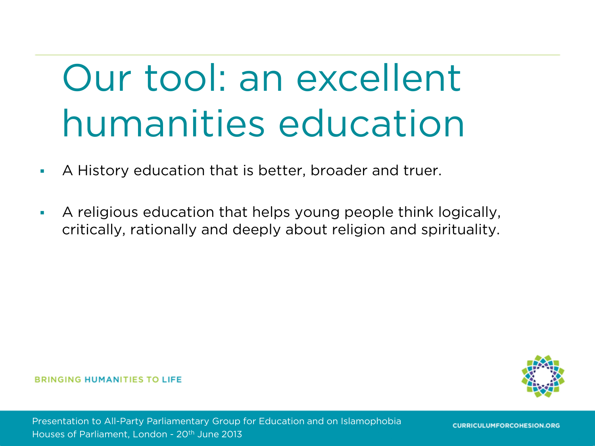### Our tool: an excellent humanities education

- A History education that is better, broader and truer.
- A religious education that helps young people think logically, critically, rationally and deeply about religion and spirituality.

**BRINGING HUMANITIES TO LIFE** 

Presentation to All-Party Parliamentary Group for Education and on Islamophobia Houses of Parliament, London - 20th June 2013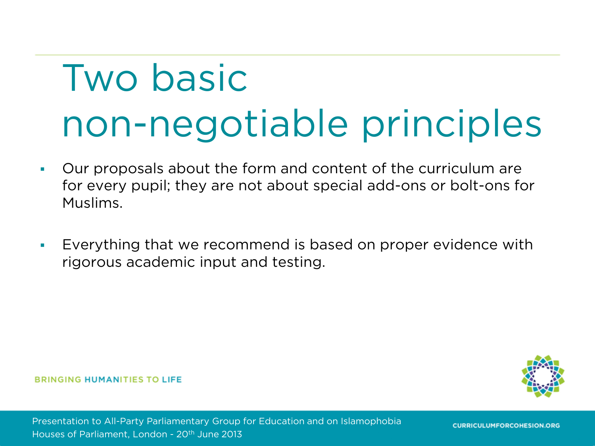### Two basic non-negotiable principles

- Our proposals about the form and content of the curriculum are for every pupil; they are not about special add-ons or bolt-ons for Muslims.
- Everything that we recommend is based on proper evidence with rigorous academic input and testing.

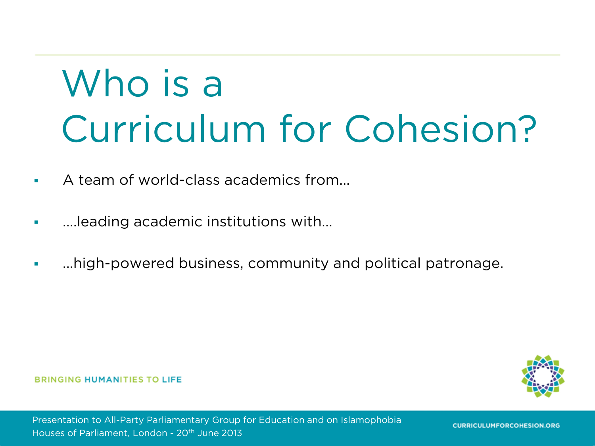### Who is a Curriculum for Cohesion?

- A team of world-class academics from...
- ....leading academic institutions with...
- ...high-powered business, community and political patronage.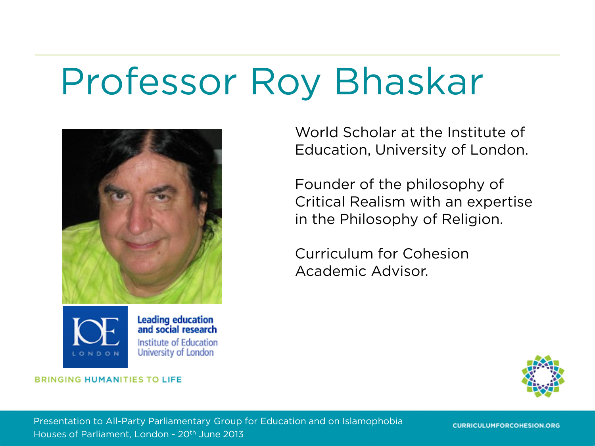#### Professor Roy Bhaskar





**Leading education<br>and social research** Institute of Education University of London

**BRINGING HUMANITIES TO LIFE** 

World Scholar at the Institute of Education, University of London.

Founder of the philosophy of Critical Realism with an expertise in the Philosophy of Religion.

Curriculum for Cohesion Academic Advisor.



Presentation to All-Party Parliamentary Group for Education and on Islamophobia Houses of Parliament, London - 20th June 2013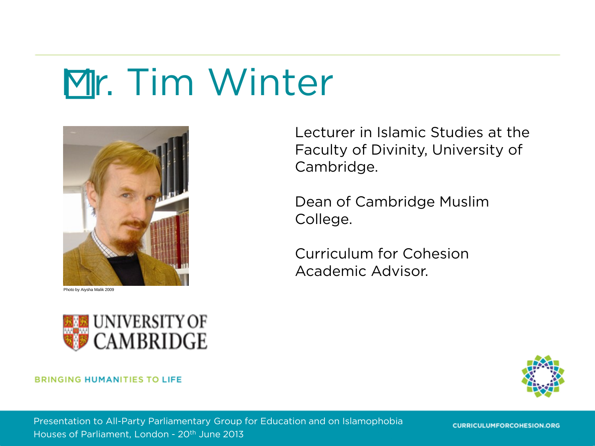### Mr. Tim Winter



Photo by Aiysha Malik 2009



#### **BRINGING HUMANITIES TO LIFE**

Lecturer in Islamic Studies at the Faculty of Divinity, University of Cambridge.

Dean of Cambridge Muslim College.

Curriculum for Cohesion Academic Advisor.



Presentation to All-Party Parliamentary Group for Education and on Islamophobia Houses of Parliament, London - 20th June 2013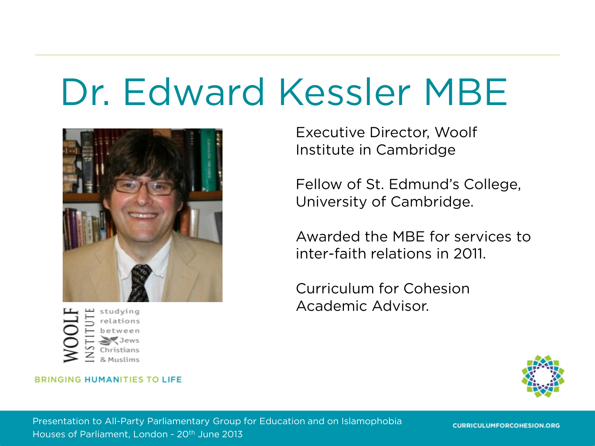#### Dr. Edward Kessler MBE



studying

#### **BRINGING HUMANITIES TO LIFE**

Executive Director, Woolf Institute in Cambridge

Fellow of St. Edmund's College, University of Cambridge.

Awarded the MBE for services to inter-faith relations in 2011.

Curriculum for Cohesion Academic Advisor.



Presentation to All-Party Parliamentary Group for Education and on Islamophobia Houses of Parliament, London - 20th June 2013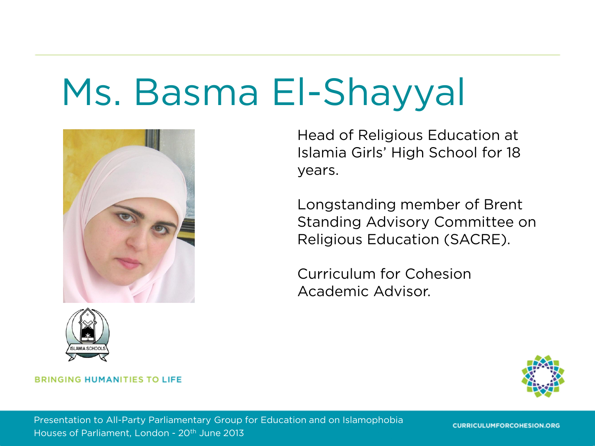#### Ms. Basma El-Shayyal





Head of Religious Education at Islamia Girls' High School for 18 years.

Longstanding member of Brent Standing Advisory Committee on Religious Education (SACRE).

Curriculum for Cohesion Academic Advisor.



#### **BRINGING HUMANITIES TO LIFE**

Presentation to All-Party Parliamentary Group for Education and on Islamophobia Houses of Parliament, London - 20th June 2013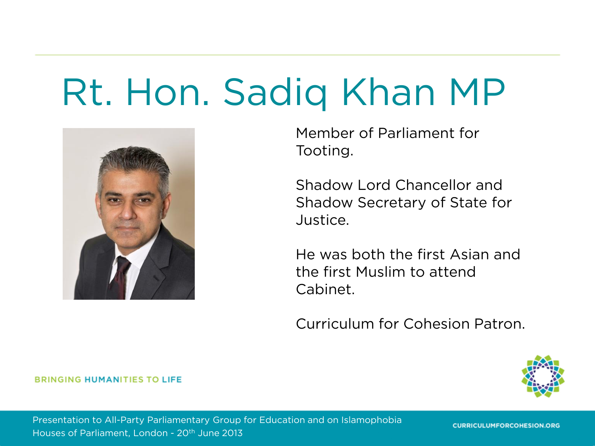#### Rt. Hon. Sadiq Khan MP



Member of Parliament for Tooting.

Shadow Lord Chancellor and Shadow Secretary of State for Justice.

He was both the first Asian and the first Muslim to attend Cabinet.

Curriculum for Cohesion Patron.



**BRINGING HUMANITIES TO LIFE** 

Presentation to All-Party Parliamentary Group for Education and on Islamophobia Houses of Parliament, London - 20th June 2013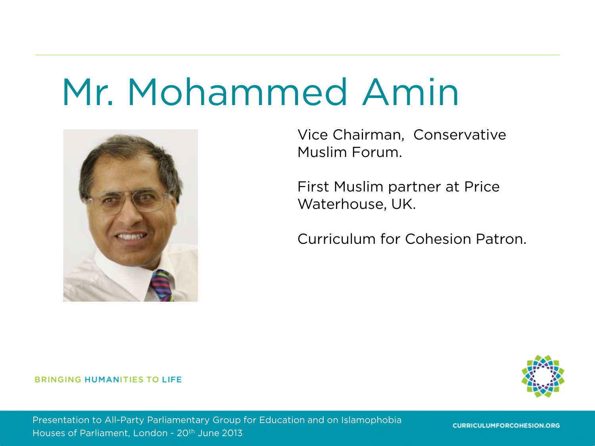#### Mr. Mohammed Amin



Vice Chairman, Conservative Muslim Forum.

First Muslim partner at Price Waterhouse, UK.

Curriculum for Cohesion Patron.

#### **BRINGING HUMANITIES TO LIFE**



Presentation to All-Party Parliamentary Group for Education and on Islamophobia Houses of Parliament, London - 20th June 2013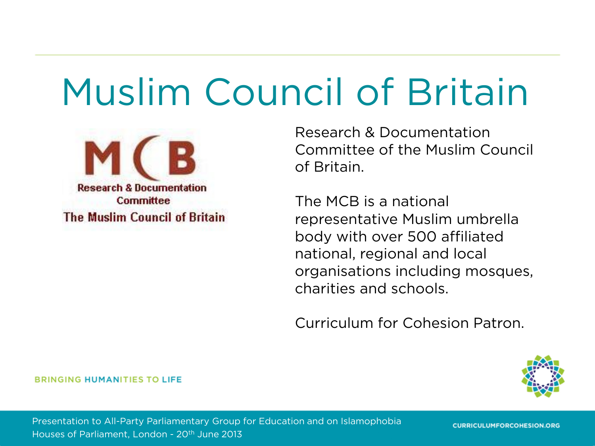#### Muslim Council of Britain



Research & Documentation Committee of the Muslim Council of Britain.

The MCB is a national representative Muslim umbrella body with over 500 affiliated national, regional and local organisations including mosques, charities and schools.

Curriculum for Cohesion Patron.



**BRINGING HUMANITIES TO LIFE** 

Presentation to All-Party Parliamentary Group for Education and on Islamophobia Houses of Parliament, London - 20th June 2013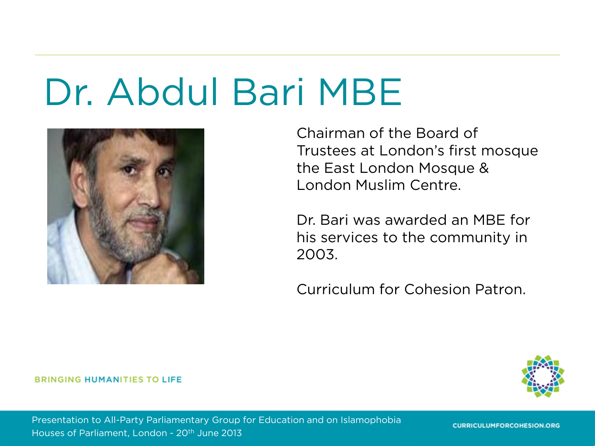#### Dr. Abdul Bari MBE



Chairman of the Board of Trustees at London's first mosque the East London Mosque & London Muslim Centre.

Dr. Bari was awarded an MBE for his services to the community in 2003.

Curriculum for Cohesion Patron.



**BRINGING HUMANITIES TO LIFE** 

Presentation to All-Party Parliamentary Group for Education and on Islamophobia Houses of Parliament, London - 20th June 2013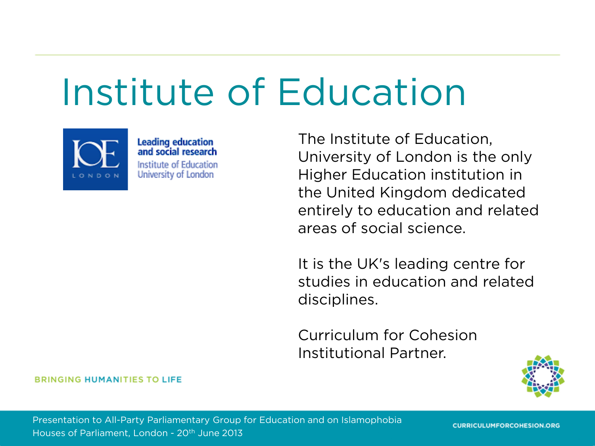#### Institute of Education



**Leading education<br>and social research** Institute of Education University of London

The Institute of Education, University of London is the only Higher Education institution in the United Kingdom dedicated entirely to education and related areas of social science.

It is the UK's leading centre for studies in education and related disciplines.

Curriculum for Cohesion Institutional Partner.

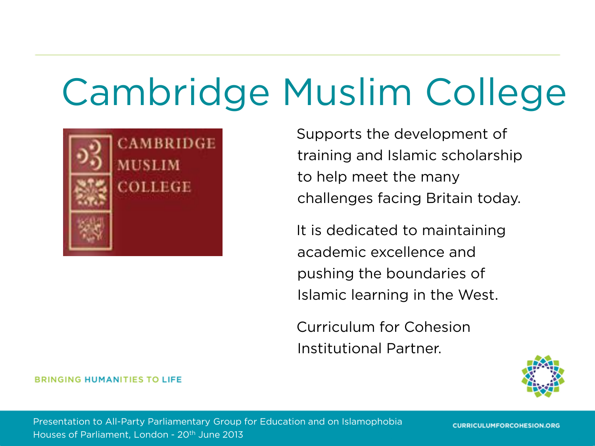### Cambridge Muslim College



Supports the development of training and Islamic scholarship to help meet the many challenges facing Britain today.

It is dedicated to maintaining academic excellence and pushing the boundaries of Islamic learning in the West.

Curriculum for Cohesion Institutional Partner.



#### **BRINGING HUMANITIES TO LIFE**

Presentation to All-Party Parliamentary Group for Education and on Islamophobia Houses of Parliament, London - 20th June 2013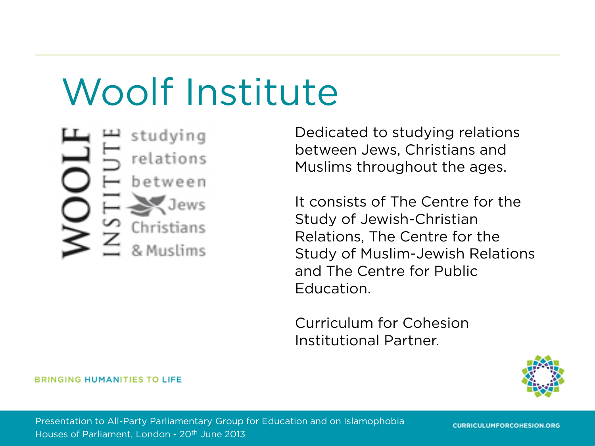#### Woolf Institute

studying relations between Christians

Dedicated to studying relations between Jews, Christians and Muslims throughout the ages.

It consists of The Centre for the Study of Jewish-Christian Relations, The Centre for the Study of Muslim-Jewish Relations and The Centre for Public Education.

Curriculum for Cohesion Institutional Partner.



**BRINGING HUMANITIES TO LIFE** 

Presentation to All-Party Parliamentary Group for Education and on Islamophobia Houses of Parliament, London - 20th June 2013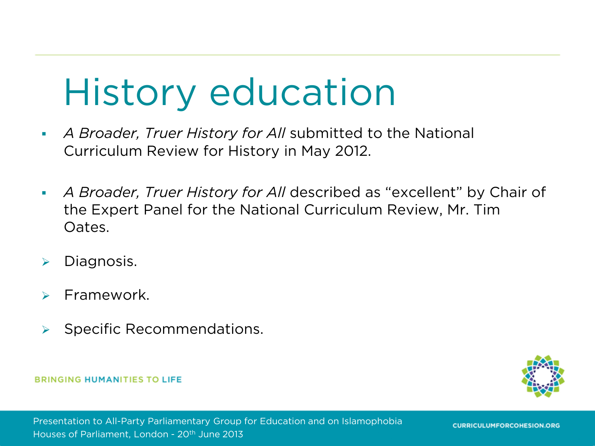#### History education

- *A Broader, Truer History for All* submitted to the National Curriculum Review for History in May 2012.
- *A Broader, Truer History for All* described as "excellent" by Chair of the Expert Panel for the National Curriculum Review, Mr. Tim Oates.
- $\triangleright$  Diagnosis.
- Framework.
- Specific Recommendations.

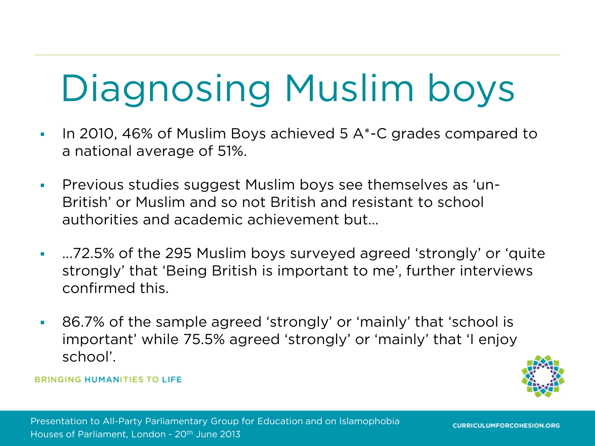### Diagnosing Muslim boys

- In 2010, 46% of Muslim Boys achieved 5  $A^*$ -C grades compared to a national average of 51%.
- Previous studies suggest Muslim boys see themselves as 'un-British' or Muslim and so not British and resistant to school authorities and academic achievement but…
- ...72.5% of the 295 Muslim boys surveyed agreed 'strongly' or 'quite strongly' that 'Being British is important to me', further interviews confirmed this.
- 86.7% of the sample agreed 'strongly' or 'mainly' that 'school is important' while 75.5% agreed 'strongly' or 'mainly' that 'I enjoy school'.

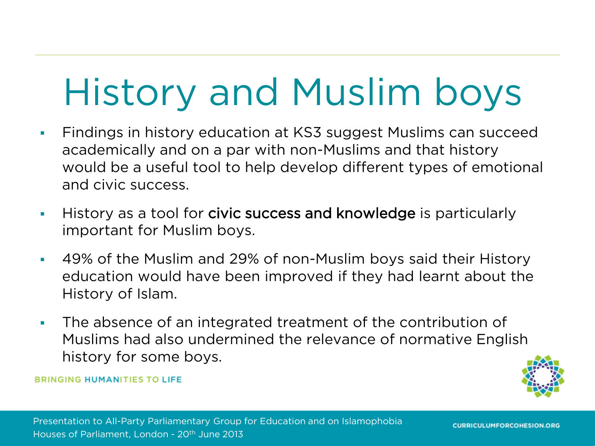### History and Muslim boys

- Findings in history education at KS3 suggest Muslims can succeed academically and on a par with non-Muslims and that history would be a useful tool to help develop different types of emotional and civic success.
- History as a tool for civic success and knowledge is particularly important for Muslim boys.
- 49% of the Muslim and 29% of non-Muslim boys said their History education would have been improved if they had learnt about the History of Islam.
- The absence of an integrated treatment of the contribution of Muslims had also undermined the relevance of normative English history for some boys.

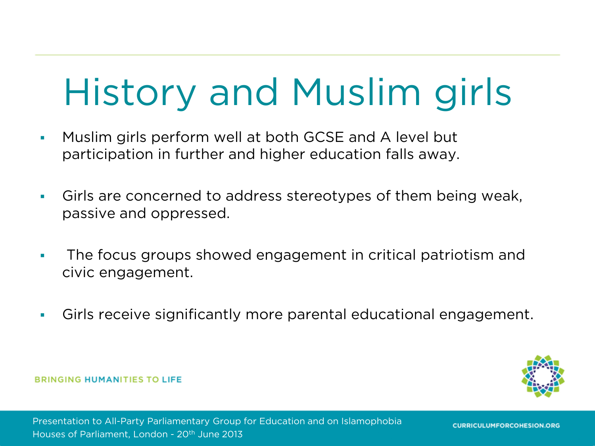### History and Muslim girls

- **Muslim girls perform well at both GCSE and A level but** participation in further and higher education falls away.
- Girls are concerned to address stereotypes of them being weak, passive and oppressed.
- The focus groups showed engagement in critical patriotism and civic engagement.
- Girls receive significantly more parental educational engagement.

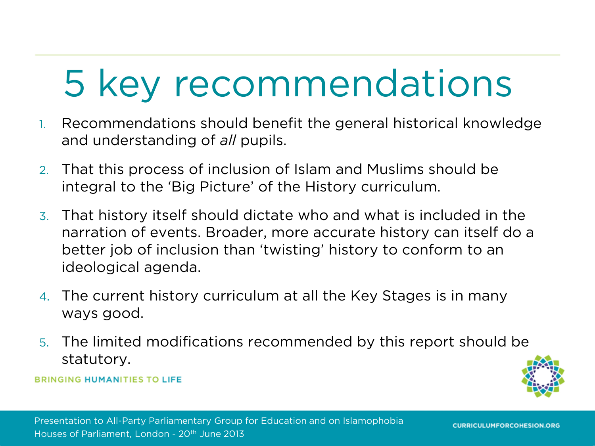### 5 key recommendations

- 1. Recommendations should benefit the general historical knowledge and understanding of *all* pupils.
- 2. That this process of inclusion of Islam and Muslims should be integral to the 'Big Picture' of the History curriculum.
- 3. That history itself should dictate who and what is included in the narration of events. Broader, more accurate history can itself do a better job of inclusion than 'twisting' history to conform to an ideological agenda.
- 4. The current history curriculum at all the Key Stages is in many ways good.
- 5. The limited modifications recommended by this report should be statutory.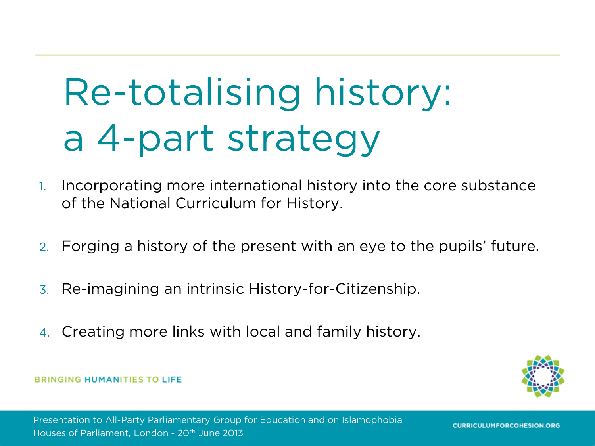## Re-totalising history: a 4-part strategy

- 1. Incorporating more international history into the core substance of the National Curriculum for History.
- 2. Forging a history of the present with an eye to the pupils' future.
- 3. Re-imagining an intrinsic History-for-Citizenship.
- 4. Creating more links with local and family history.

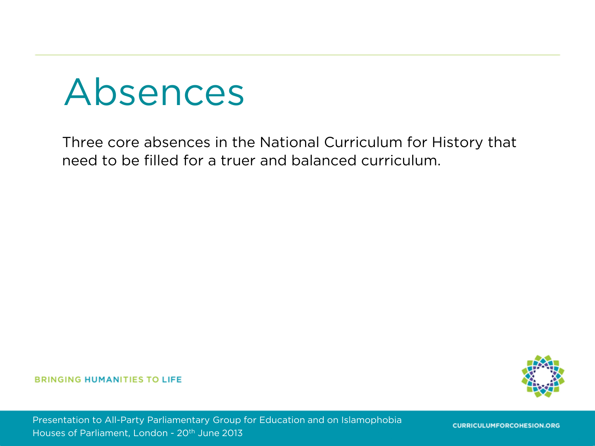#### Absences

Three core absences in the National Curriculum for History that need to be filled for a truer and balanced curriculum.

**BRINGING HUMANITIES TO LIFE** 



Presentation to All-Party Parliamentary Group for Education and on Islamophobia Houses of Parliament, London - 20th June 2013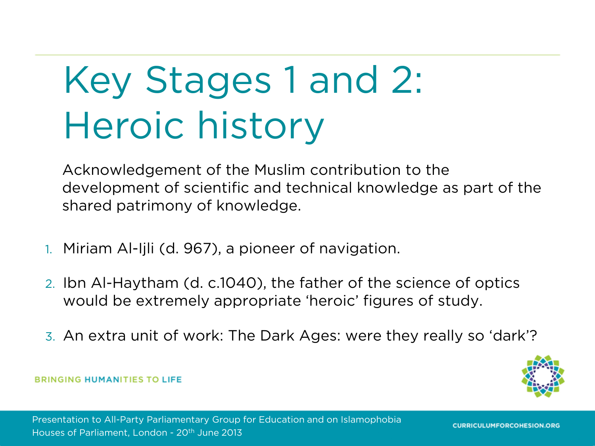## Key Stages 1 and 2: Heroic history

Acknowledgement of the Muslim contribution to the development of scientific and technical knowledge as part of the shared patrimony of knowledge.

- 1. Miriam Al-Ijli (d. 967), a pioneer of navigation.
- 2. Ibn Al-Haytham (d. c.1040), the father of the science of optics would be extremely appropriate 'heroic' figures of study.
- 3. An extra unit of work: The Dark Ages: were they really so 'dark'?

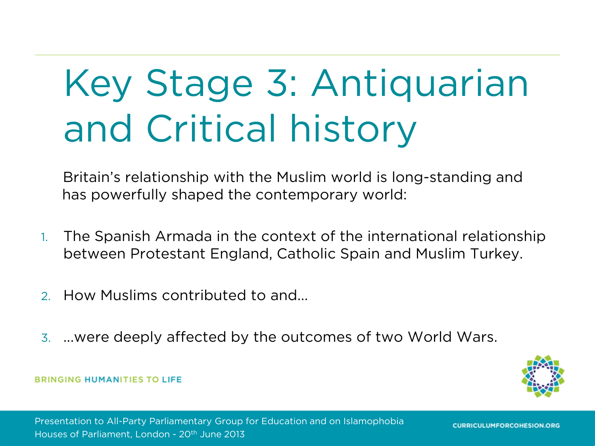## Key Stage 3: Antiquarian and Critical history

Britain's relationship with the Muslim world is long-standing and has powerfully shaped the contemporary world:

- 1. The Spanish Armada in the context of the international relationship between Protestant England, Catholic Spain and Muslim Turkey.
- 2. How Muslims contributed to and...
- 3. ...were deeply affected by the outcomes of two World Wars.

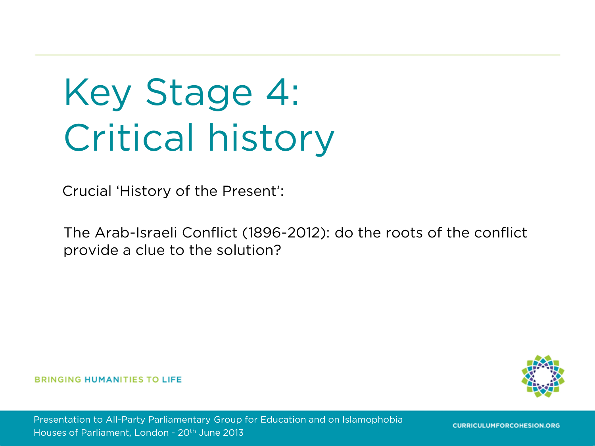## Key Stage 4: Critical history

Crucial 'History of the Present':

The Arab-Israeli Conflict (1896-2012): do the roots of the conflict provide a clue to the solution?

**BRINGING HUMANITIES TO LIFE** 

Presentation to All-Party Parliamentary Group for Education and on Islamophobia Houses of Parliament, London - 20<sup>th</sup> June 2013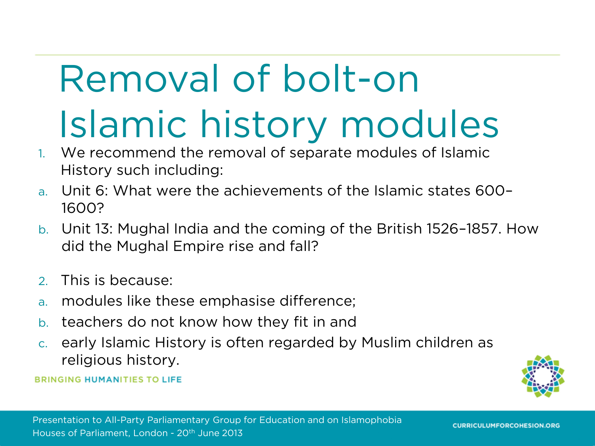## Removal of bolt-on Islamic history modules

- 1. We recommend the removal of separate modules of Islamic History such including:
- a. Unit 6: What were the achievements of the Islamic states 600– 1600?
- b. Unit 13: Mughal India and the coming of the British 1526–1857. How did the Mughal Empire rise and fall?
- 2. This is because:
- a. modules like these emphasise difference;
- b. teachers do not know how they fit in and
- c. early Islamic History is often regarded by Muslim children as religious history.

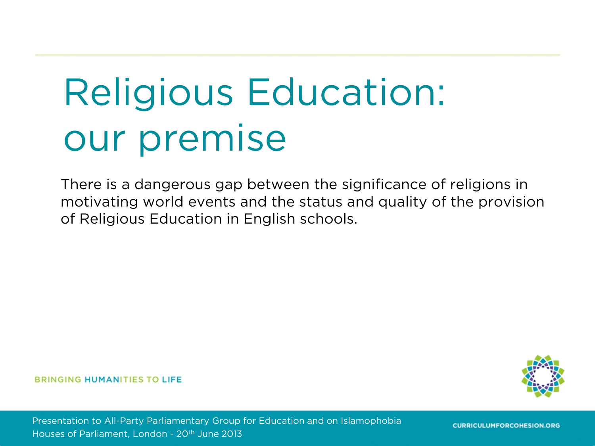## Religious Education: our premise

There is a dangerous gap between the significance of religions in motivating world events and the status and quality of the provision of Religious Education in English schools.

#### **BRINGING HUMANITIES TO LIFE**

Presentation to All-Party Parliamentary Group for Education and on Islamophobia Houses of Parliament, London - 20th June 2013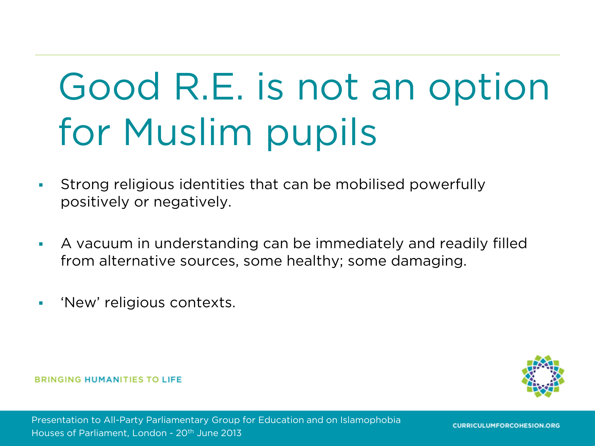## Good R.E. is not an option for Muslim pupils

- Strong religious identities that can be mobilised powerfully positively or negatively.
- A vacuum in understanding can be immediately and readily filled from alternative sources, some healthy; some damaging.
- **New' religious contexts.**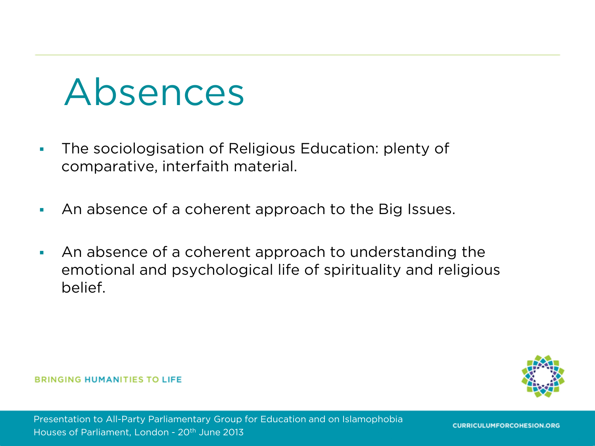#### Absences

- The sociologisation of Religious Education: plenty of comparative, interfaith material.
- An absence of a coherent approach to the Big Issues.
- An absence of a coherent approach to understanding the emotional and psychological life of spirituality and religious belief.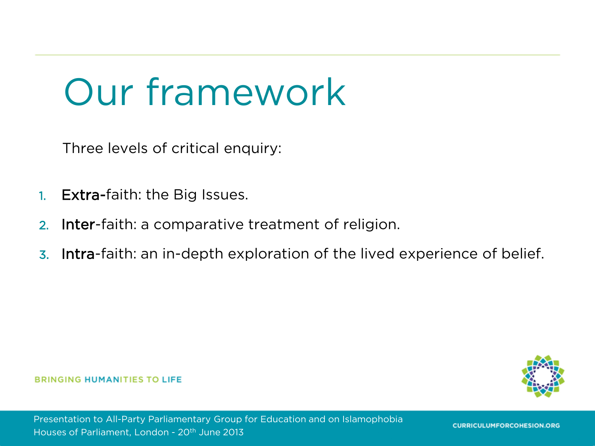#### Our framework

Three levels of critical enquiry:

- 1. Extra-faith: the Big Issues.
- 2. Inter-faith: a comparative treatment of religion.
- 3. Intra-faith: an in-depth exploration of the lived experience of belief.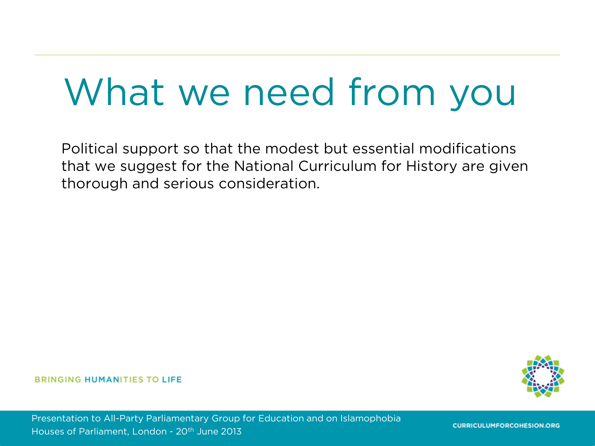#### What we need from you

Political support so that the modest but essential modifications that we suggest for the National Curriculum for History are given thorough and serious consideration.

#### **BRINGING HUMANITIES TO LIFE**

Presentation to All-Party Parliamentary Group for Education and on Islamophobia Houses of Parliament, London - 20th June 2013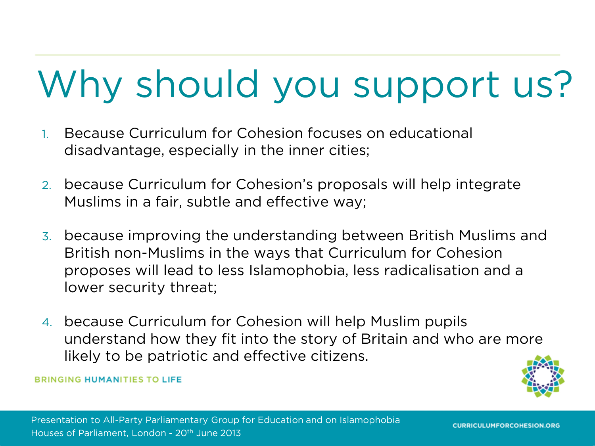### Why should you support us?

- 1. Because Curriculum for Cohesion focuses on educational disadvantage, especially in the inner cities;
- 2. because Curriculum for Cohesion's proposals will help integrate Muslims in a fair, subtle and effective way;
- 3. because improving the understanding between British Muslims and British non-Muslims in the ways that Curriculum for Cohesion proposes will lead to less Islamophobia, less radicalisation and a lower security threat;
- 4. because Curriculum for Cohesion will help Muslim pupils understand how they fit into the story of Britain and who are more likely to be patriotic and effective citizens.